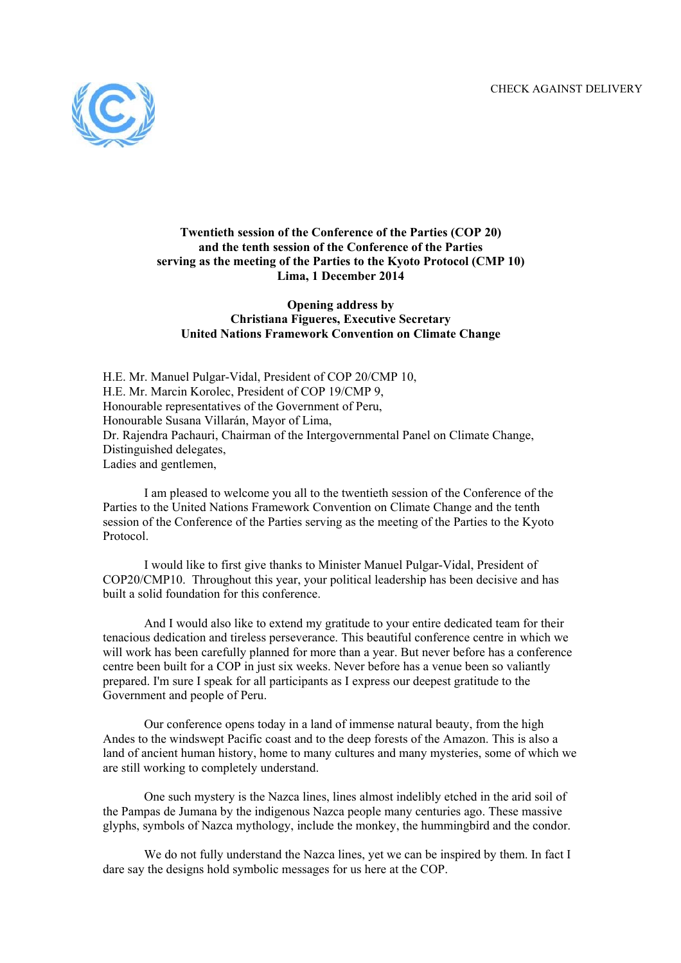

## **Twentieth session of the Conference of the Parties (COP 20) and the tenth session of the Conference of the Parties serving as the meeting of the Parties to the Kyoto Protocol (CMP 10) Lima, 1 December 2014**

## **Opening address by Christiana Figueres, Executive Secretary United Nations Framework Convention on Climate Change**

H.E. Mr. Manuel Pulgar-Vidal, President of COP 20/CMP 10, H.E. Mr. Marcin Korolec, President of COP 19/CMP 9, Honourable representatives of the Government of Peru, Honourable Susana Villarán, Mayor of Lima, Dr. Rajendra Pachauri, Chairman of the Intergovernmental Panel on Climate Change, Distinguished delegates, Ladies and gentlemen,

I am pleased to welcome you all to the twentieth session of the Conference of the Parties to the United Nations Framework Convention on Climate Change and the tenth session of the Conference of the Parties serving as the meeting of the Parties to the Kyoto Protocol.

I would like to first give thanks to Minister Manuel Pulgar-Vidal, President of COP20/CMP10. Throughout this year, your political leadership has been decisive and has built a solid foundation for this conference.

And I would also like to extend my gratitude to your entire dedicated team for their tenacious dedication and tireless perseverance. This beautiful conference centre in which we will work has been carefully planned for more than a year. But never before has a conference centre been built for a COP in just six weeks. Never before has a venue been so valiantly prepared. I'm sure I speak for all participants as I express our deepest gratitude to the Government and people of Peru.

Our conference opens today in a land of immense natural beauty, from the high Andes to the windswept Pacific coast and to the deep forests of the Amazon. This is also a land of ancient human history, home to many cultures and many mysteries, some of which we are still working to completely understand.

One such mystery is the Nazca lines, lines almost indelibly etched in the arid soil of the Pampas de Jumana by the indigenous Nazca people many centuries ago. These massive glyphs, symbols of Nazca mythology, include the monkey, the hummingbird and the condor.

We do not fully understand the Nazca lines, yet we can be inspired by them. In fact I dare say the designs hold symbolic messages for us here at the COP.